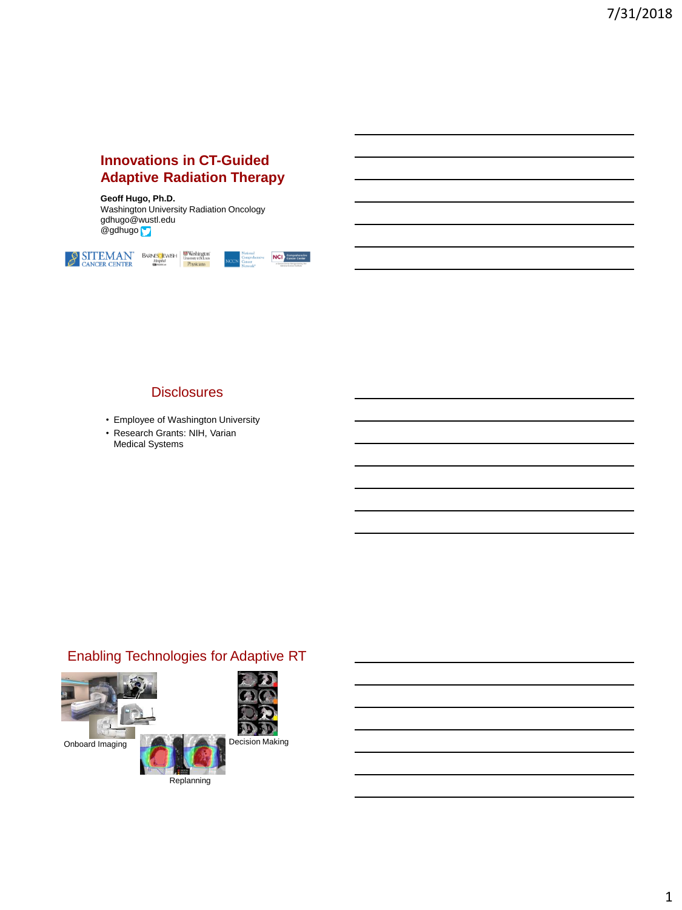#### **Innovations in CT-Guided Adaptive Radiation Therapy**

**Geoff Hugo, Ph.D.** Washington University Radiation Oncology gdhugo@wustl.edu @gdhugo



#### **Disclosures**

- Employee of Washington University
- Research Grants: NIH, Varian Medical Systems

# Enabling Technologies for Adaptive RT

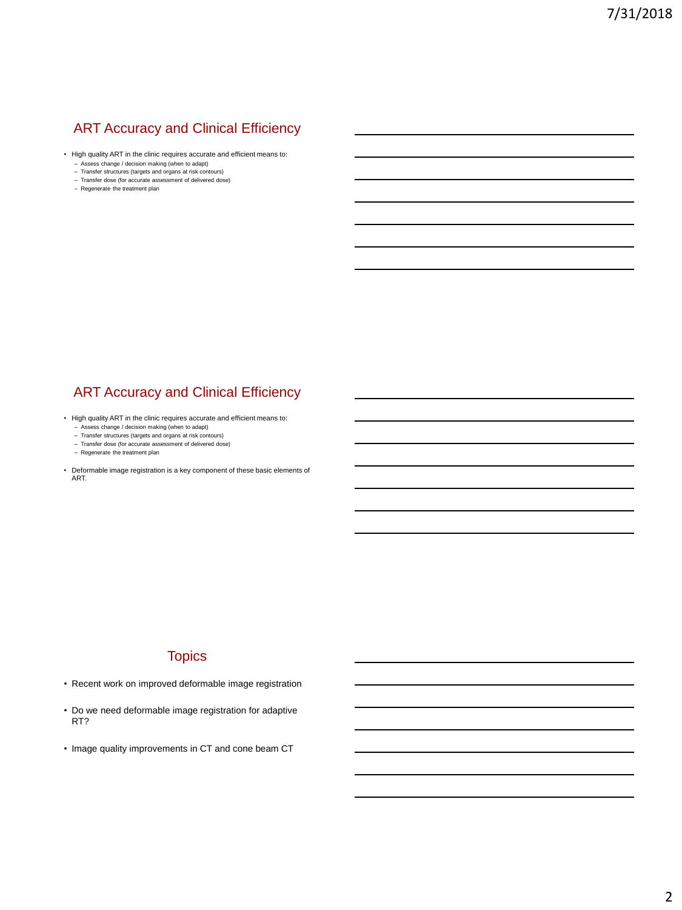# ART Accuracy and Clinical Efficiency

- High quality ART in the clinic requires accurate and efficient means to:
	- Assess change / decision making (when to adapt)
	- Transfer structures (targets and organs at risk contours) Transfer dose (for accurate assessment of delivered dose)
	- Regenerate the treatment plan

#### **ART Accuracy and Clinical Efficiency**

- High quality ART in the clinic requires accurate and efficient means to:
	-
	- Assess change / decision making (when to adapt) Transfer structures (targets and organs at risk contours) Transfer dose (for accurate assessment of delivered dose) Regenerate the treatment plan
	-
	-
- Deformable image registration is a key component of these basic elements of ART.

#### **Topics**

- Recent work on improved deformable image registration
- Do we need deformable image registration for adaptive RT?
- Image quality improvements in CT and cone beam CT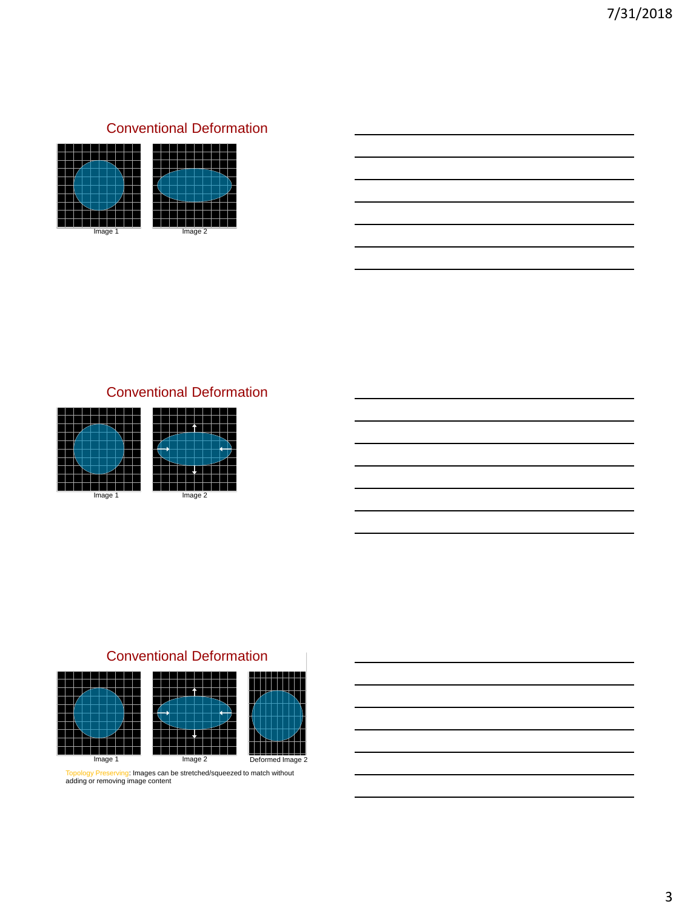# Conventional Deformation



# Conventional Deformation



# Conventional Deformation





Topology Preserving: Images can be stretched/squeezed to match without adding or removing image content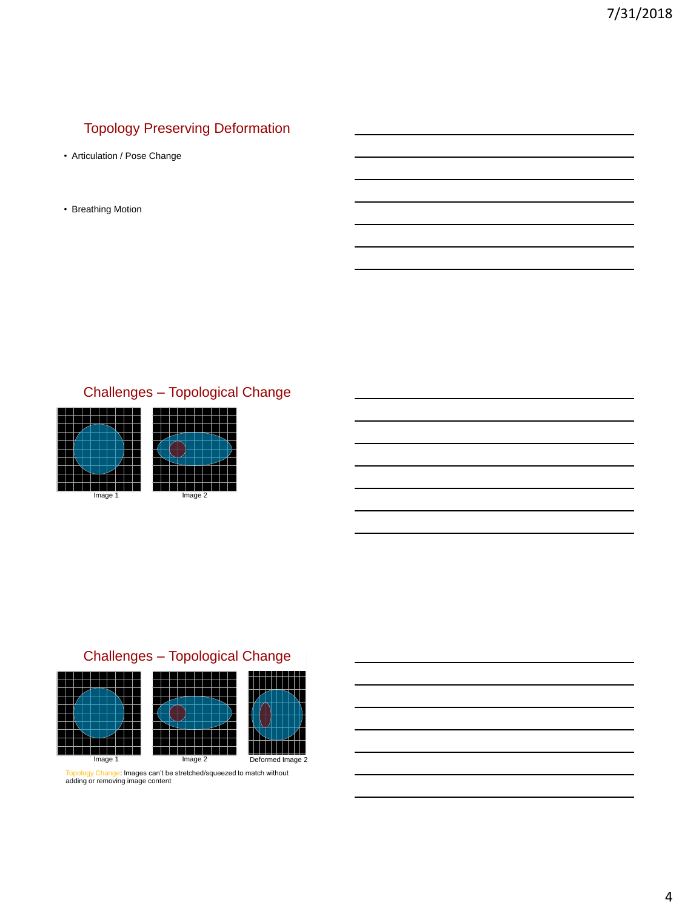# Topology Preserving Deformation

- Articulation / Pose Change
- Breathing Motion

# Challenges – Topological Change



# Challenges – Topological Change



Topology Change: Images can't be stretched/squeezed to match without<br>adding or removing image content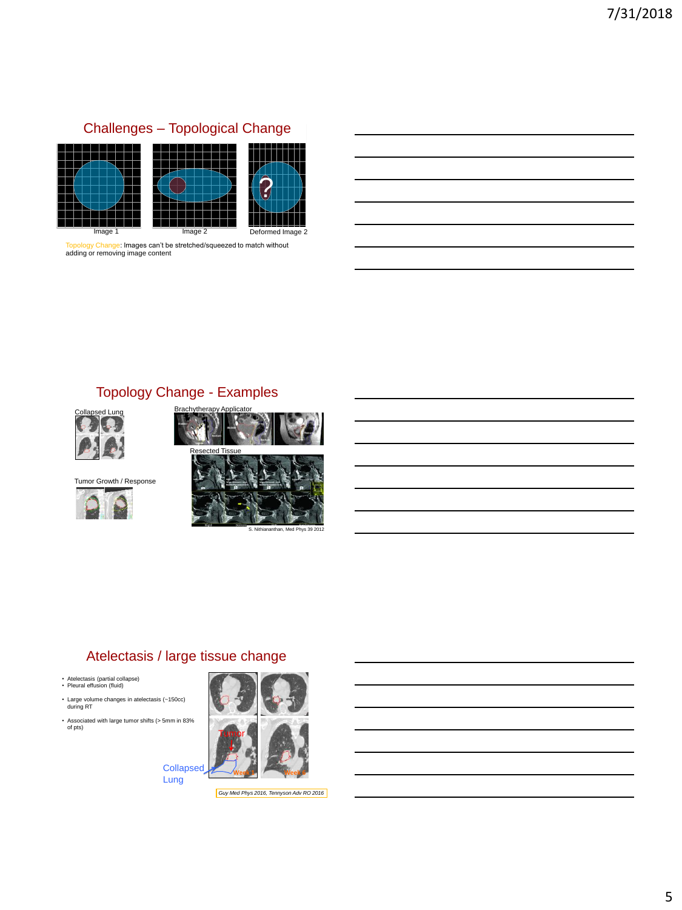

Topology Change: Images can't be stretched/squeezed to match without adding or removing image content

# Topology Change - Examples





Tumor Growth / Response





## Atelectasis / large tissue change

- Atelectasis (partial collapse) Pleural effusion (fluid)
- 
- Large volume changes in atelectasis (~150cc) during RT • Associated with large tumor shifts (> 5mm in 83%
- of pts)



**Collapsed** Lung

*Guy Med Phys 2016, Tennyson Adv RO 2016*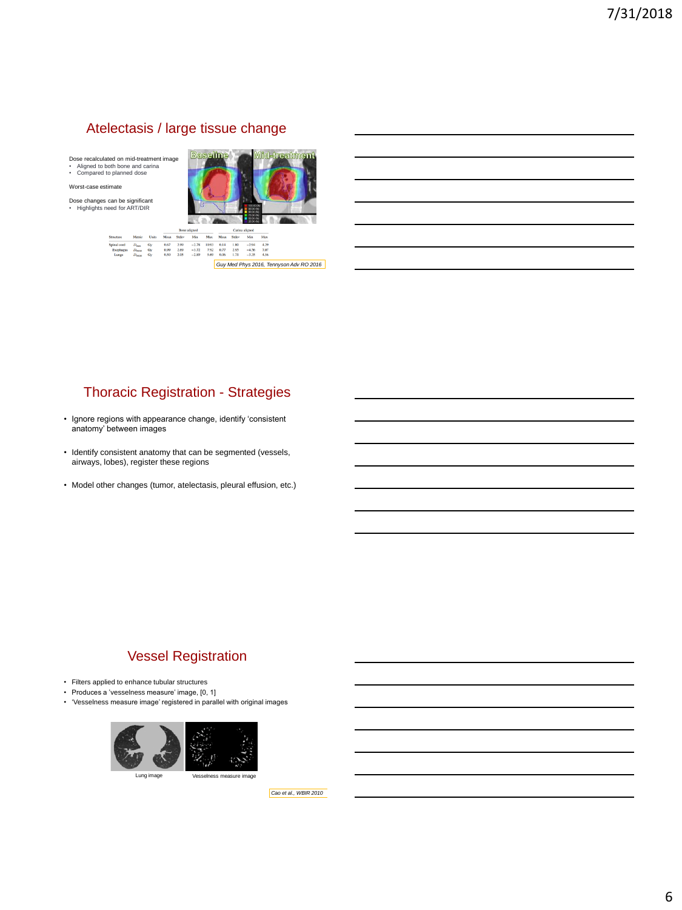#### Atelectasis / large tissue change

Dose recalculated on mid-treatment image • Aligned to both bone and carina • Compared to planned dose

 ${\bf Metric} \qquad {\bf Units}$ 

Worst-case estimate

Dose changes can be significant • Highlights need for ART/DIR



 $\begin{array}{cccc} -2.78 & 10.93 & 0.14 & 1.80 & -2.94 & 4.29 \\ -3.72 & 7.92 & 0.77 & 2.95 & -4.56 & 7.07 \\ -2.89 & 5.69 & 0.06 & 1.71 & -3.35 & 4.56 \end{array}$ *Guy Med Phys 2016, Tennyson Adv RO 2016*

## Thoracic Registration - Strategies

- Ignore regions with appearance change, identify 'consistent anatomy' between images
- Identify consistent anatomy that can be segmented (vessels, airways, lobes), register these regions
- Model other changes (tumor, atelectasis, pleural effusion, etc.)

#### Vessel Registration

- Filters applied to enhance tubular structures
- Produces a 'vesselness measure' image, [0, 1]
- 'Vesselness measure image' registered in parallel with original images



*Cao et al., WBIR 2010*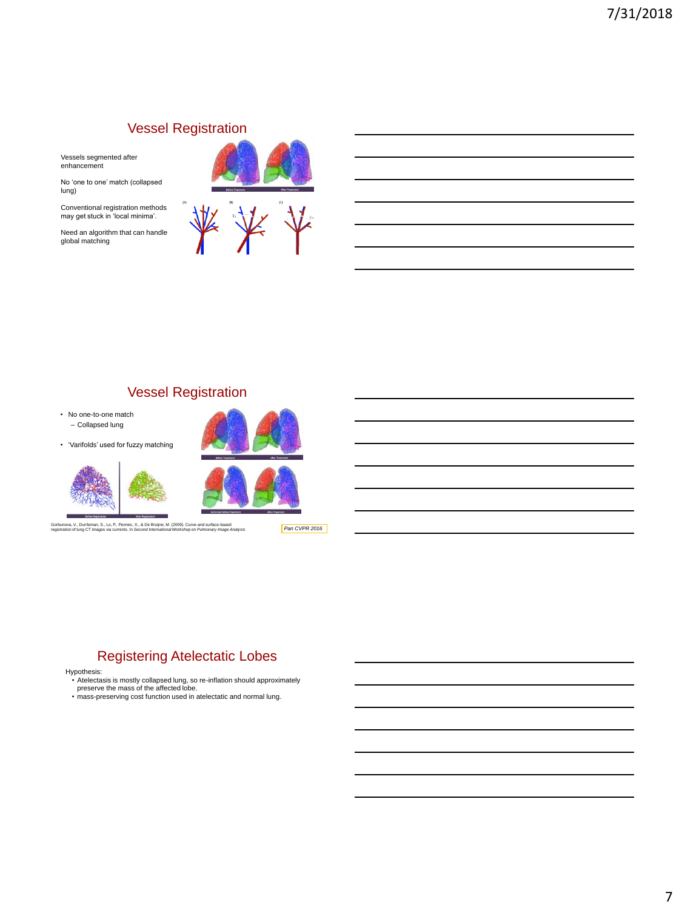#### Vessel Registration

Vessels segmented after enhancement

No 'one to one' match (collapsed lung)

Conventional registration methods may get stuck in 'local minima'.

Need an algorithm that can handle global matching



# Vessel Registration

• No one-to-one match – Collapsed lung

• 'Varifolds' used for fuzzy matching



Gorbunova, V., Durrleman, S., Lo, P., Pennec, X., & De Bruijne, M. (2009). Curve-and surface-based registration of lung CT images via currents. In *Second International Workshop on Pulmonary Image Analysis*



*Pan CVPR 2016*

# Registering Atelectatic Lobes

- Hypothesis: Atelectasis is mostly collapsed lung, so re-inflation should approximately preserve the mass of the affected lobe.
- mass-preserving cost function used in atelectatic and normal lung.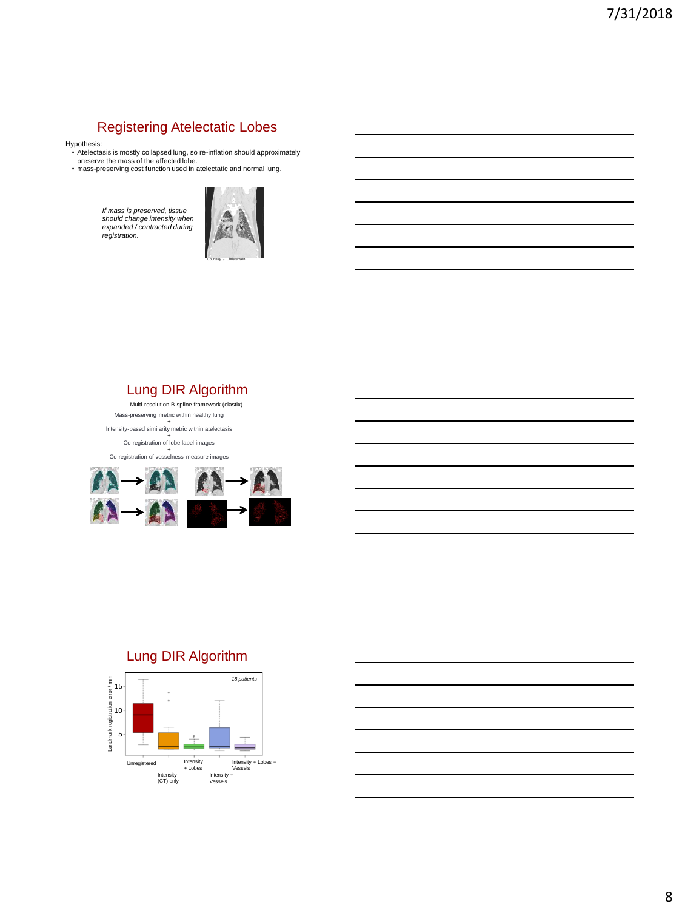# Registering Atelectatic Lobes

- Hypothesis: Atelectasis is mostly collapsed lung, so re-inflation should approximately preserve the mass of the affected lobe. mass-preserving cost function used in atelectatic and normal lung.
- 

*If mass is preserved, tissue should change intensity when expanded / contracted during registration.*



# Lung DIR Algorithm

Mass-preserving metric within healthy lung ± Intensity-based similarity metric within atelectasis ± Co-registration of lobe label images ± Co-registration of vesselness measure images Multi-resolution B-spline framework (elastix)



## Lung DIR Algorithm

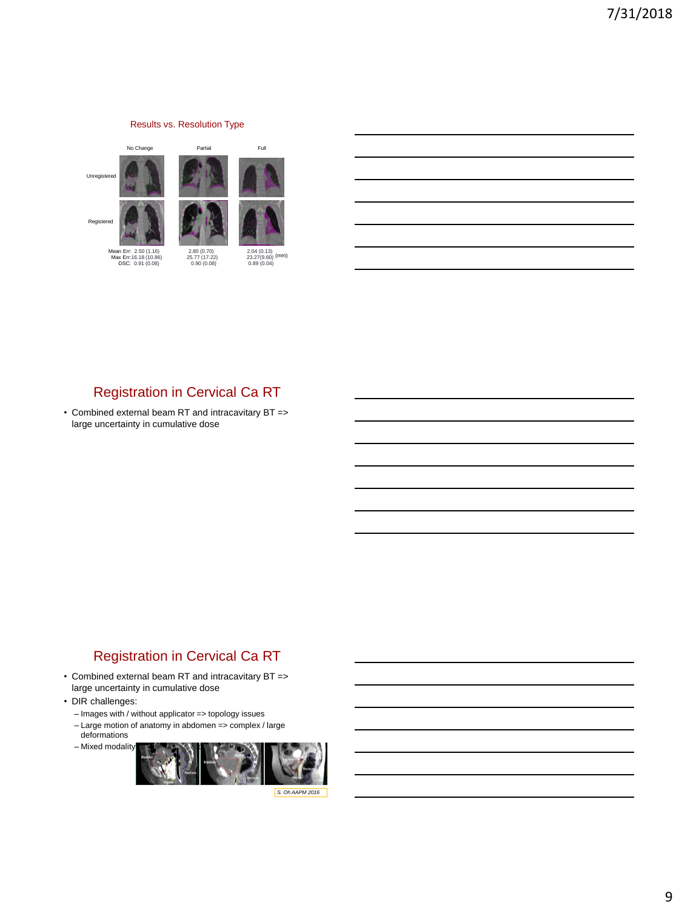# Results vs. Resolution Type No Change **Partial** Partial Full Unregistered Registered

Mean Err: 2.50 (1.16) 2.80 (0.70) 2.04 (0.13) Max Err:16.18 (10.86) 25.77 (17.22) 23.27(9.60) DSC: 0.91 (0.08) 0.90 (0.08) 0.89 (0.04)

 $\frac{2.04(0.13)}{23.27(9.60)}$  (mm)<br>0.89 (0.04)

# Registration in Cervical Ca RT

• Combined external beam RT and intracavitary BT => large uncertainty in cumulative dose

# Registration in Cervical Ca RT

- Combined external beam RT and intracavitary BT => large uncertainty in cumulative dose
- DIR challenges:
	- Images with / without applicator => topology issues
	- Large motion of anatomy in abdomen => complex / large deformations
	- $-$  Mixed modality

*S. Oh AAPM 2016*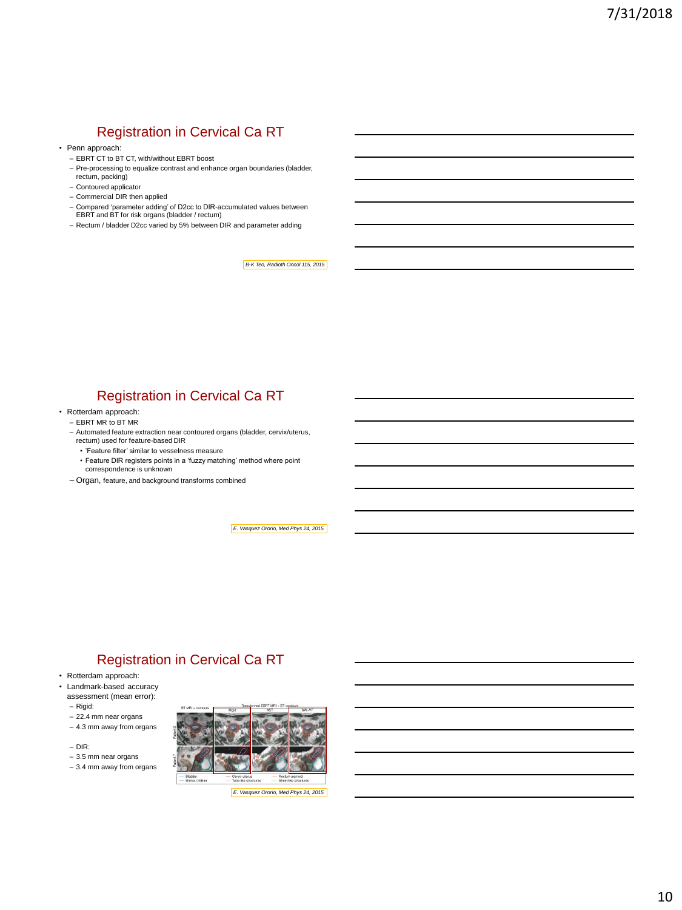# Registration in Cervical Ca RT

- Penn approach:
	- EBRT CT to BT CT, with/without EBRT boost
	- Pre-processing to equalize contrast and enhance organ boundaries (bladder, rectum, packing)
	- Contoured applicator
	- Commercial DIR then applied
	- Compared 'parameter adding' of D2cc to DIR-accumulated values between EBRT and BT for risk organs (bladder / rectum)
	- Rectum / bladder D2cc varied by 5% between DIR and parameter adding

*B-K Teo, Radioth Oncol 115, 2015*

## Registration in Cervical Ca RT

- Rotterdam approach:
	- EBRT MR to BT MR
	- Automated feature extraction near contoured organs (bladder, cervix/uterus, rectum) used for feature-based DIR
		- 'Feature filter' similar to vesselness measure
		- Feature DIR registers points in a 'fuzzy matching' method where point correspondence is unknown
	- Organ, feature, and background transforms combined

*E. Vasquez Ororio, Med Phys 24, 2015*

# Registration in Cervical Ca RT

- Rotterdam approach:
- Landmark-based accuracy assessment (mean error):
	- Rigid:
	- 22.4 mm near organs
	- 4.3 mm away from organs
	- DIR:
	- 3.5 mm near organs
	- 3.4 mm away from organs

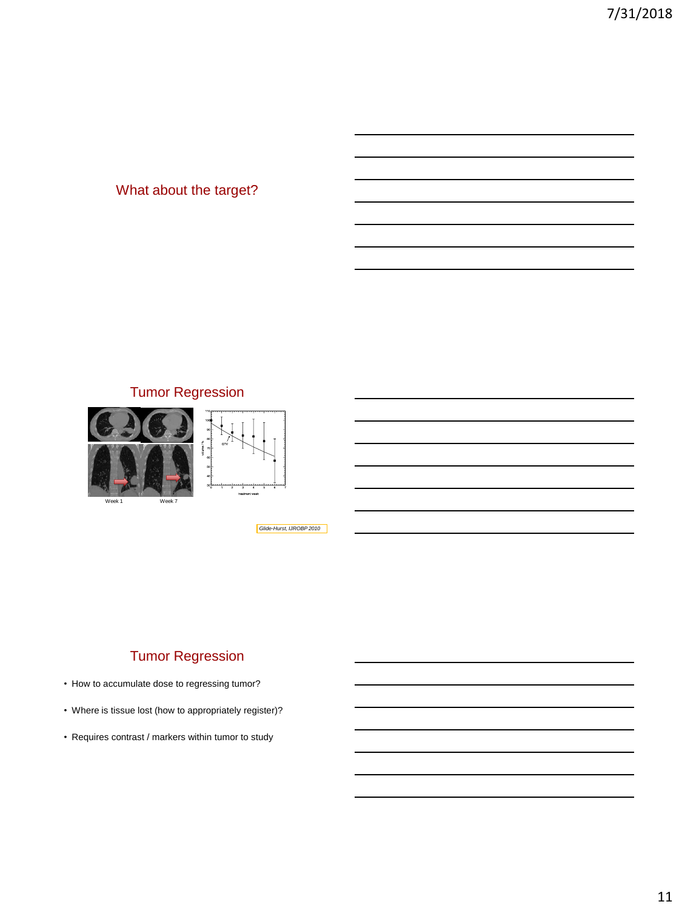# What about the target?

# Tumor Regression





*Glide-Hurst, IJROBP 2010*

# Tumor Regression

- How to accumulate dose to regressing tumor?
- Where is tissue lost (how to appropriately register)?
- Requires contrast / markers within tumor to study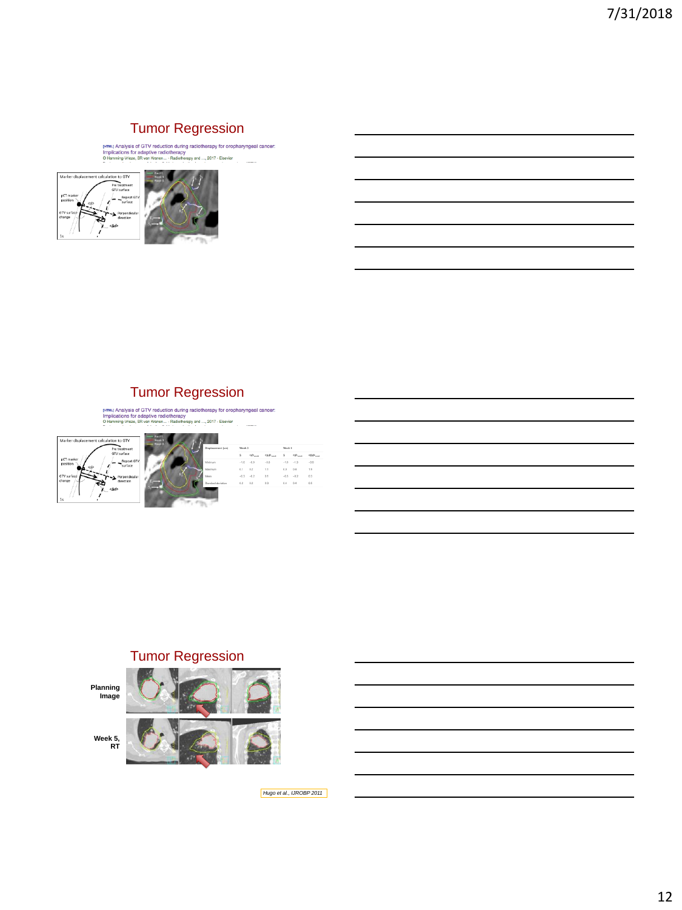**TUMOF Regression**<br>
Impications for adaptive radiotherapy<br>
Impications for adaptive radiotherapy<br>
O Hamming-Wiese, SR van Kranen.... Radiotherapy<br>
O Hamming-Wiese, SR van Kranen.... Radiotherapy<br>  $p$  of Lamming-Wiese, SR v





nmut Analysis of GTV reduction during radiotherapy for oropharyngeal cancer:<br>Implications for adaptive radiotherapy<br>O Hamming Vrieze, SR van Kranen... - Radiotherapy and ..., 2017 - Elsevier



#### Tumor Regression



*Hugo et al., IJROBP 2011*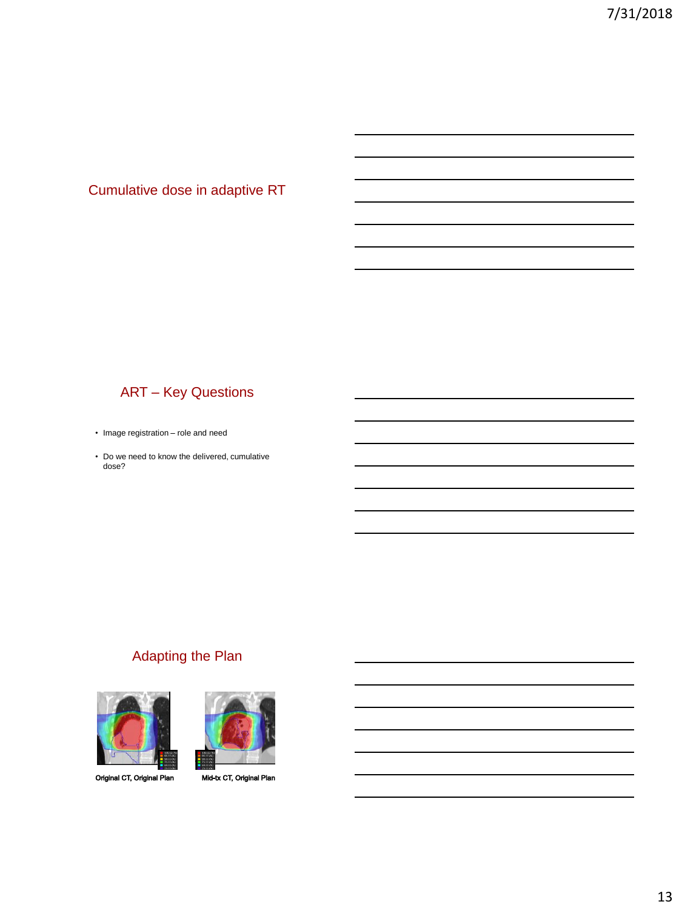Cumulative dose in adaptive RT

# ART – Key Questions

- Image registration role and need
- Do we need to know the delivered, cumulative dose?

# Adapting the Plan



Original CT, Original Plan

Mid-tx CT, Original Plan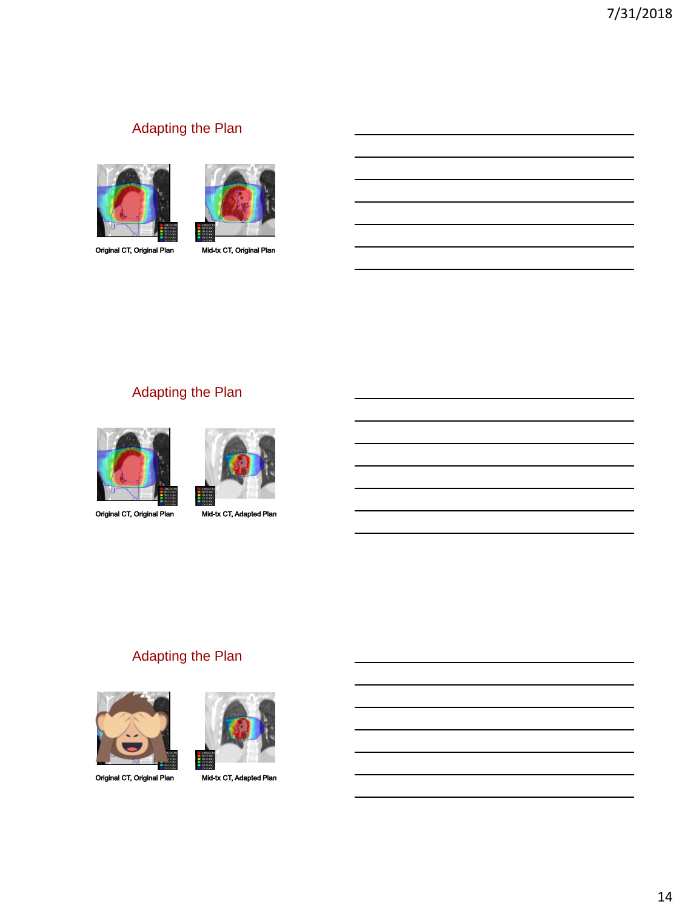the control of the control of the control of the control of the control of the control of the control of the control of

the control of the control of the control of the control of the control of the control of the control of the control of the control of the control of the control of the control of the control of the control of the control

the control of the control of the control of the control of the control of the control of

# Adapting the Plan





Original CT, Original Plan

Mid-tx CT, Original Plan

# Adapting the Plan





Original CT, Original Plan

Mid-tx CT, Adapted Plan

## Adapting the Plan



Original CT, Original Plan



Mid-tx CT, Adapted Plan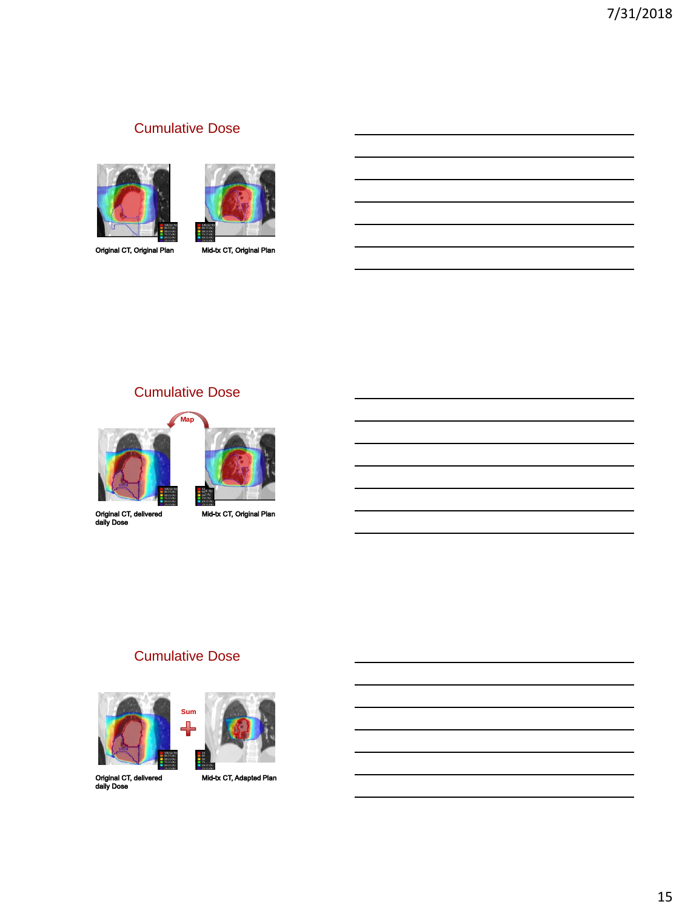# Cumulative Dose





Original CT, Original Plan

Mid-tx CT, Original Plan

# Cumulative Dose



Original CT, delivered<br>daily Dose

Mid-tx CT, Original Plan

# Cumulative Dose



Original CT, delivered<br>daily Dose

Mid-tx CT, Adapted Plan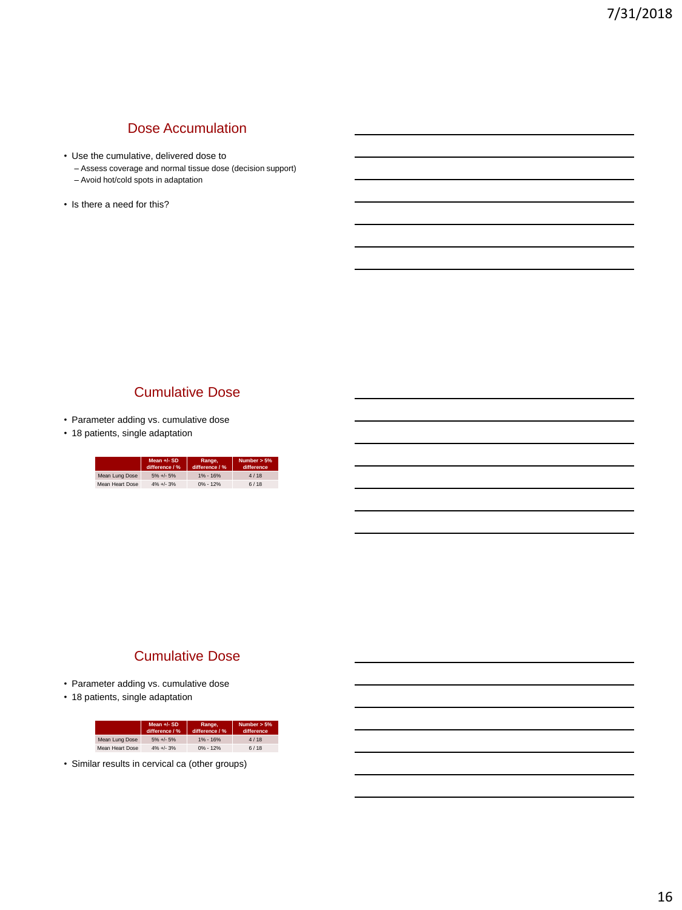#### Dose Accumulation

- Use the cumulative, delivered dose to
	- Assess coverage and normal tissue dose (decision support)
	- Avoid hot/cold spots in adaptation
- Is there a need for this?

#### Cumulative Dose

- Parameter adding vs. cumulative dose
- 18 patients, single adaptation

|                 | Mean $+/-$ SD<br>difference / % | Range.<br>difference / % | Number $> 5\%$<br>difference |
|-----------------|---------------------------------|--------------------------|------------------------------|
| Mean Lung Dose  | $5\% +1.5\%$                    | $1\% - 16\%$             | 4/18                         |
| Mean Heart Dose | $4\% +1.3\%$                    | $0\% - 12\%$             | 6/18                         |

#### Cumulative Dose

- Parameter adding vs. cumulative dose
- 18 patients, single adaptation

|                 | Mean +/- SD<br>difference / % | Range,<br>difference / % | Number $> 5\%$<br>difference |
|-----------------|-------------------------------|--------------------------|------------------------------|
| Mean Lung Dose  | $5\% +1.5\%$                  | $1\% - 16\%$             | 4/18                         |
| Mean Heart Dose | $4\% +1 - 3\%$                | $0\% - 12\%$             | 6/18                         |

• Similar results in cervical ca (other groups)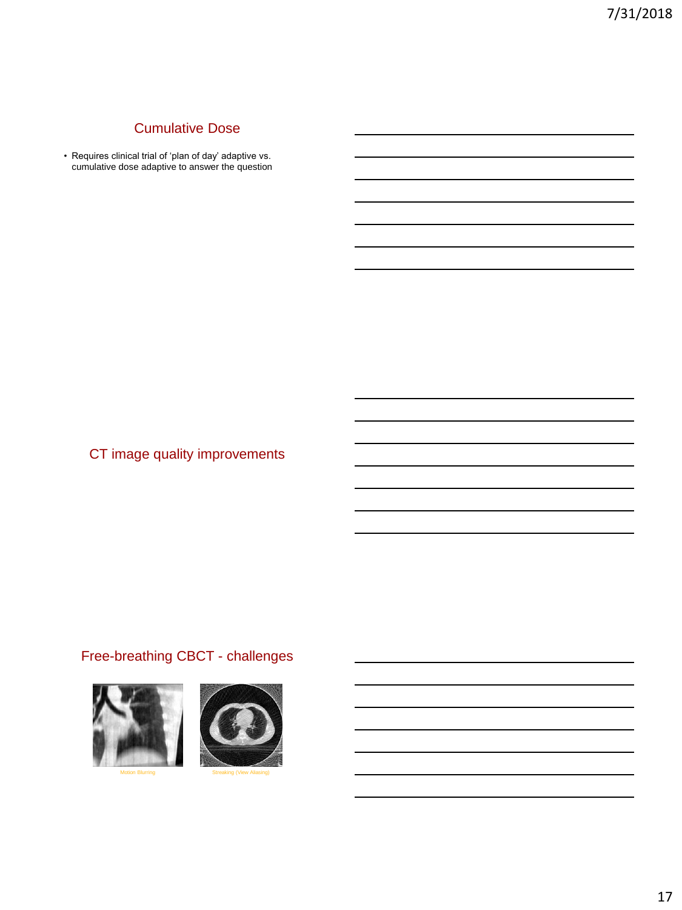# Cumulative Dose

• Requires clinical trial of 'plan of day' adaptive vs. cumulative dose adaptive to answer the question

CT image quality improvements

# Free-breathing CBCT - challenges





Motion Blurring

Streaking (View Aliasing)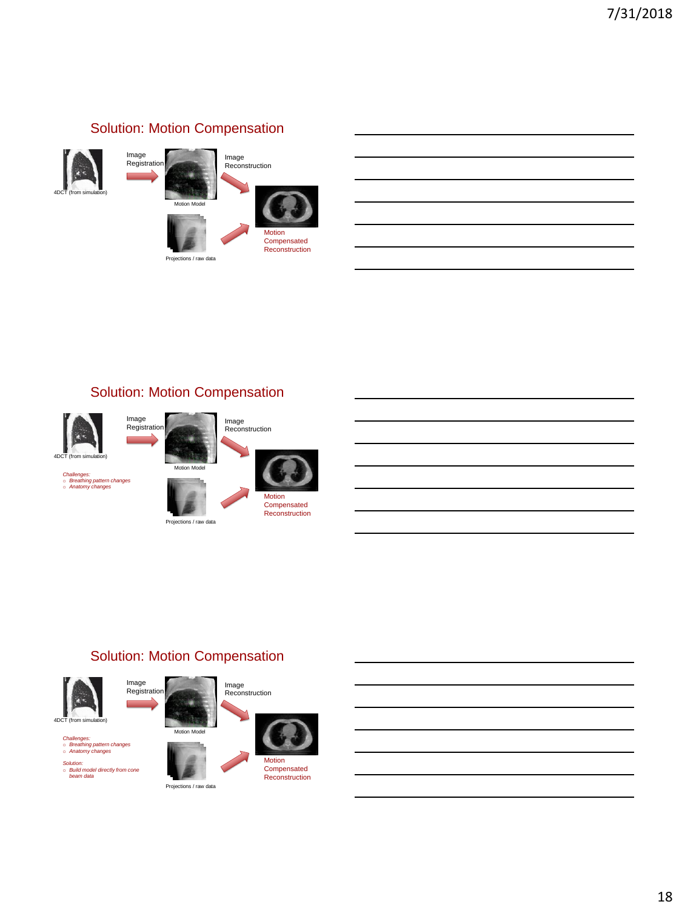# Solution: Motion Compensation







tions / raw data





Projections / raw data



## Solution: Motion Compensation

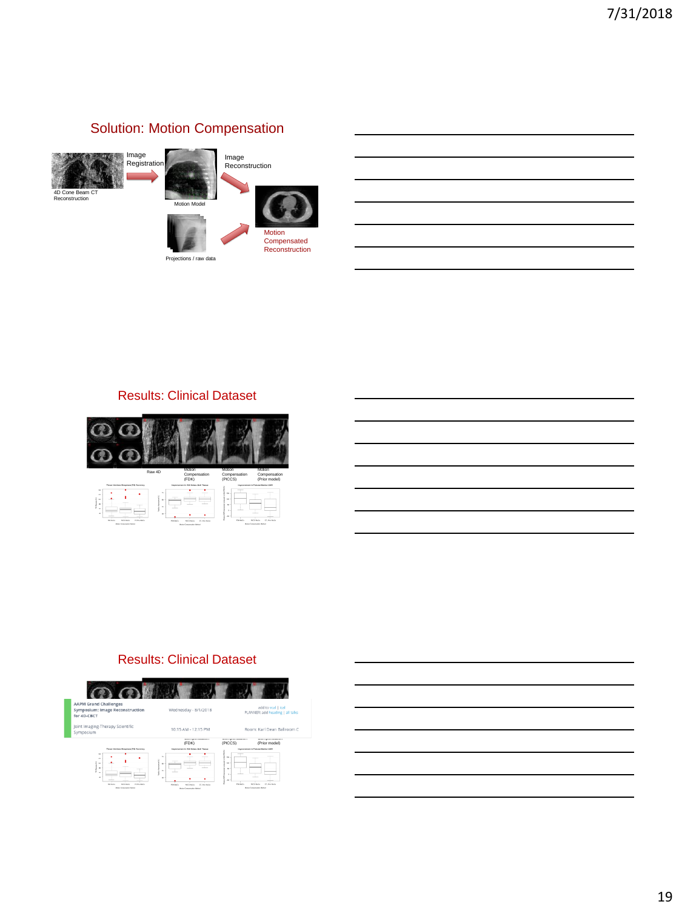# Solution: Motion Compensation



tions / raw data



#### Results: Clinical Dataset



#### Results: Clinical Dataset



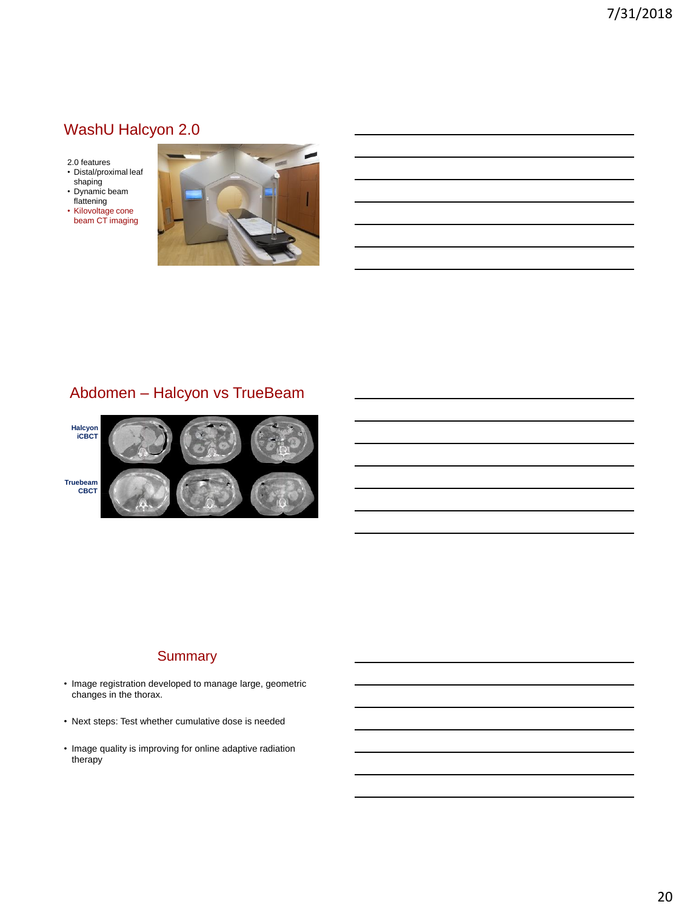# WashU Halcyon 2.0

- 2.0 features
- Distal/proximal leaf shaping • Dynamic beam
- flattening • Kilovoltage cone
- beam CT imaging



# Abdomen – Halcyon vs TrueBeam



#### **Summary**

- Image registration developed to manage large, geometric changes in the thorax.
- Next steps: Test whether cumulative dose is needed
- Image quality is improving for online adaptive radiation therapy